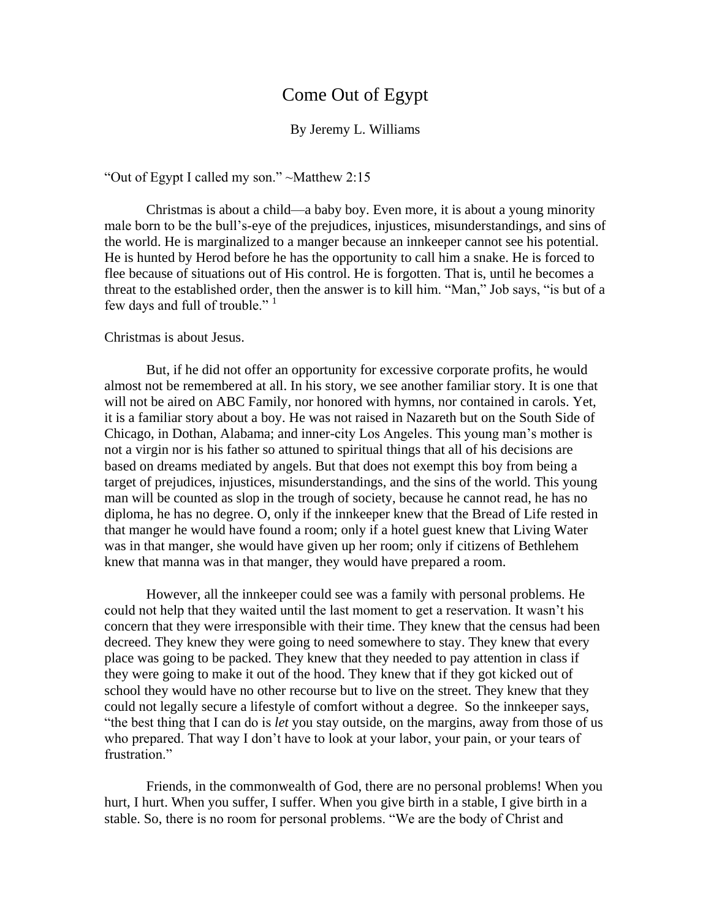## Come Out of Egypt

## By Jeremy L. Williams

"Out of Egypt I called my son." ~Matthew 2:15

Christmas is about a child—a baby boy. Even more, it is about a young minority male born to be the bull's-eye of the prejudices, injustices, misunderstandings, and sins of the world. He is marginalized to a manger because an innkeeper cannot see his potential. He is hunted by Herod before he has the opportunity to call him a snake. He is forced to flee because of situations out of His control. He is forgotten. That is, until he becomes a threat to the established order, then the answer is to kill him. "Man," Job says, "is but of a few days and full of trouble."<sup>1</sup>

## Christmas is about Jesus.

But, if he did not offer an opportunity for excessive corporate profits, he would almost not be remembered at all. In his story, we see another familiar story. It is one that will not be aired on ABC Family, nor honored with hymns, nor contained in carols. Yet, it is a familiar story about a boy. He was not raised in Nazareth but on the South Side of Chicago, in Dothan, Alabama; and inner-city Los Angeles. This young man's mother is not a virgin nor is his father so attuned to spiritual things that all of his decisions are based on dreams mediated by angels. But that does not exempt this boy from being a target of prejudices, injustices, misunderstandings, and the sins of the world. This young man will be counted as slop in the trough of society, because he cannot read, he has no diploma, he has no degree. O, only if the innkeeper knew that the Bread of Life rested in that manger he would have found a room; only if a hotel guest knew that Living Water was in that manger, she would have given up her room; only if citizens of Bethlehem knew that manna was in that manger, they would have prepared a room.

However, all the innkeeper could see was a family with personal problems. He could not help that they waited until the last moment to get a reservation. It wasn't his concern that they were irresponsible with their time. They knew that the census had been decreed. They knew they were going to need somewhere to stay. They knew that every place was going to be packed. They knew that they needed to pay attention in class if they were going to make it out of the hood. They knew that if they got kicked out of school they would have no other recourse but to live on the street. They knew that they could not legally secure a lifestyle of comfort without a degree. So the innkeeper says, "the best thing that I can do is *let* you stay outside, on the margins, away from those of us who prepared. That way I don't have to look at your labor, your pain, or your tears of frustration."

Friends, in the commonwealth of God, there are no personal problems! When you hurt, I hurt. When you suffer, I suffer. When you give birth in a stable, I give birth in a stable. So, there is no room for personal problems. "We are the body of Christ and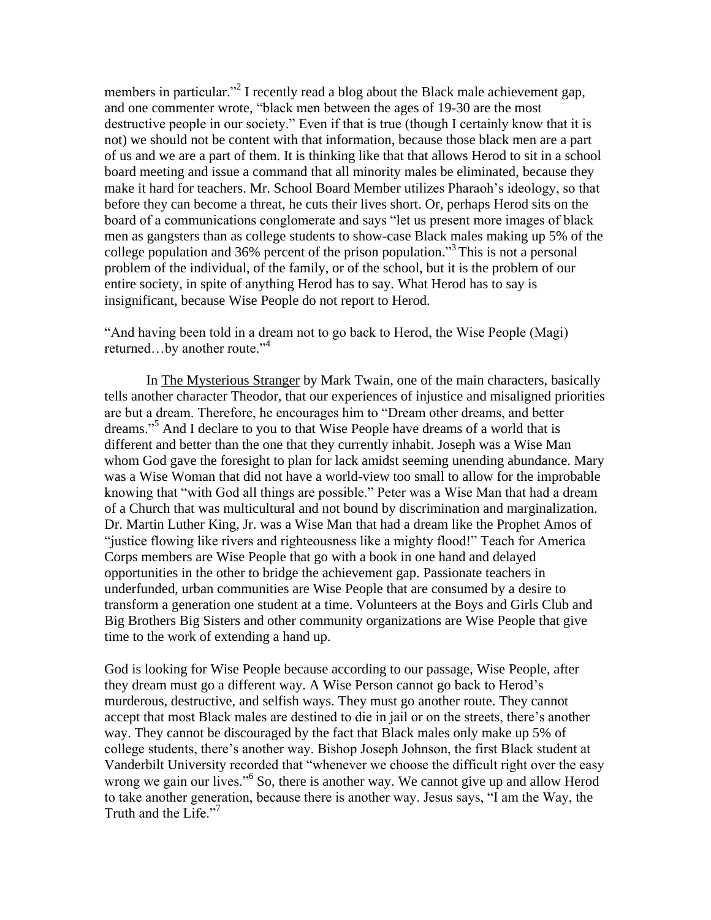members in particular."<sup>2</sup> I recently read a blog about the Black male achievement gap, and one commenter wrote, "black men between the ages of 19-30 are the most destructive people in our society." Even if that is true (though I certainly know that it is not) we should not be content with that information, because those black men are a part of us and we are a part of them. It is thinking like that that allows Herod to sit in a school board meeting and issue a command that all minority males be eliminated, because they make it hard for teachers. Mr. School Board Member utilizes Pharaoh's ideology, so that before they can become a threat, he cuts their lives short. Or, perhaps Herod sits on the board of a communications conglomerate and says "let us present more images of black men as gangsters than as college students to show-case Black males making up 5% of the college population and 36% percent of the prison population." <sup>3</sup>This is not a personal problem of the individual, of the family, or of the school, but it is the problem of our entire society, in spite of anything Herod has to say. What Herod has to say is insignificant, because Wise People do not report to Herod.

"And having been told in a dream not to go back to Herod, the Wise People (Magi) returned...by another route."<sup>4</sup>

In The Mysterious Stranger by Mark Twain, one of the main characters, basically tells another character Theodor, that our experiences of injustice and misaligned priorities are but a dream. Therefore, he encourages him to "Dream other dreams, and better dreams." <sup>5</sup> And I declare to you to that Wise People have dreams of a world that is different and better than the one that they currently inhabit. Joseph was a Wise Man whom God gave the foresight to plan for lack amidst seeming unending abundance. Mary was a Wise Woman that did not have a world-view too small to allow for the improbable knowing that "with God all things are possible." Peter was a Wise Man that had a dream of a Church that was multicultural and not bound by discrimination and marginalization. Dr. Martin Luther King, Jr. was a Wise Man that had a dream like the Prophet Amos of "justice flowing like rivers and righteousness like a mighty flood!" Teach for America Corps members are Wise People that go with a book in one hand and delayed opportunities in the other to bridge the achievement gap. Passionate teachers in underfunded, urban communities are Wise People that are consumed by a desire to transform a generation one student at a time. Volunteers at the Boys and Girls Club and Big Brothers Big Sisters and other community organizations are Wise People that give time to the work of extending a hand up.

God is looking for Wise People because according to our passage, Wise People, after they dream must go a different way. A Wise Person cannot go back to Herod's murderous, destructive, and selfish ways. They must go another route. They cannot accept that most Black males are destined to die in jail or on the streets, there's another way. They cannot be discouraged by the fact that Black males only make up 5% of college students, there's another way. Bishop Joseph Johnson, the first Black student at Vanderbilt University recorded that "whenever we choose the difficult right over the easy wrong we gain our lives."<sup>6</sup> So, there is another way. We cannot give up and allow Herod to take another generation, because there is another way. Jesus says, "I am the Way, the Truth and the Life."<sup>7</sup>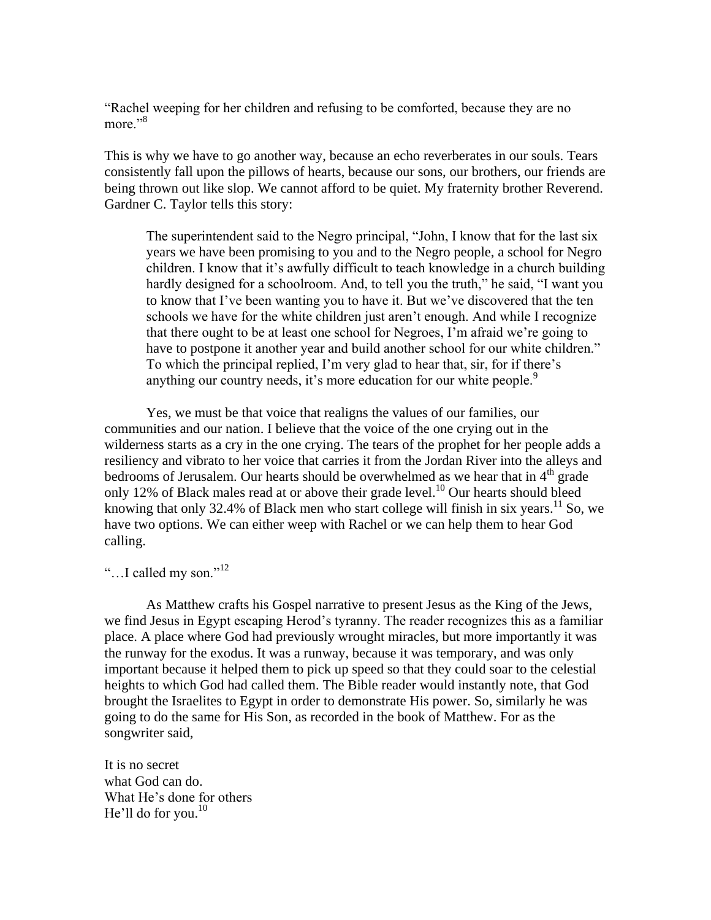"Rachel weeping for her children and refusing to be comforted, because they are no more."<sup>8</sup>

This is why we have to go another way, because an echo reverberates in our souls. Tears consistently fall upon the pillows of hearts, because our sons, our brothers, our friends are being thrown out like slop. We cannot afford to be quiet. My fraternity brother Reverend. Gardner C. Taylor tells this story:

The superintendent said to the Negro principal, "John, I know that for the last six years we have been promising to you and to the Negro people, a school for Negro children. I know that it's awfully difficult to teach knowledge in a church building hardly designed for a schoolroom. And, to tell you the truth," he said, "I want you to know that I've been wanting you to have it. But we've discovered that the ten schools we have for the white children just aren't enough. And while I recognize that there ought to be at least one school for Negroes, I'm afraid we're going to have to postpone it another year and build another school for our white children." To which the principal replied, I'm very glad to hear that, sir, for if there's anything our country needs, it's more education for our white people.<sup>9</sup>

Yes, we must be that voice that realigns the values of our families, our communities and our nation. I believe that the voice of the one crying out in the wilderness starts as a cry in the one crying. The tears of the prophet for her people adds a resiliency and vibrato to her voice that carries it from the Jordan River into the alleys and bedrooms of Jerusalem. Our hearts should be overwhelmed as we hear that in  $4<sup>th</sup>$  grade only 12% of Black males read at or above their grade level.<sup>10</sup> Our hearts should bleed knowing that only 32.4% of Black men who start college will finish in six years.<sup>11</sup> So, we have two options. We can either weep with Rachel or we can help them to hear God calling.

"…I called my son."<sup>12</sup>

As Matthew crafts his Gospel narrative to present Jesus as the King of the Jews, we find Jesus in Egypt escaping Herod's tyranny. The reader recognizes this as a familiar place. A place where God had previously wrought miracles, but more importantly it was the runway for the exodus. It was a runway, because it was temporary, and was only important because it helped them to pick up speed so that they could soar to the celestial heights to which God had called them. The Bible reader would instantly note, that God brought the Israelites to Egypt in order to demonstrate His power. So, similarly he was going to do the same for His Son, as recorded in the book of Matthew. For as the songwriter said,

It is no secret what God can do. What He's done for others He'll do for you.<sup>10</sup>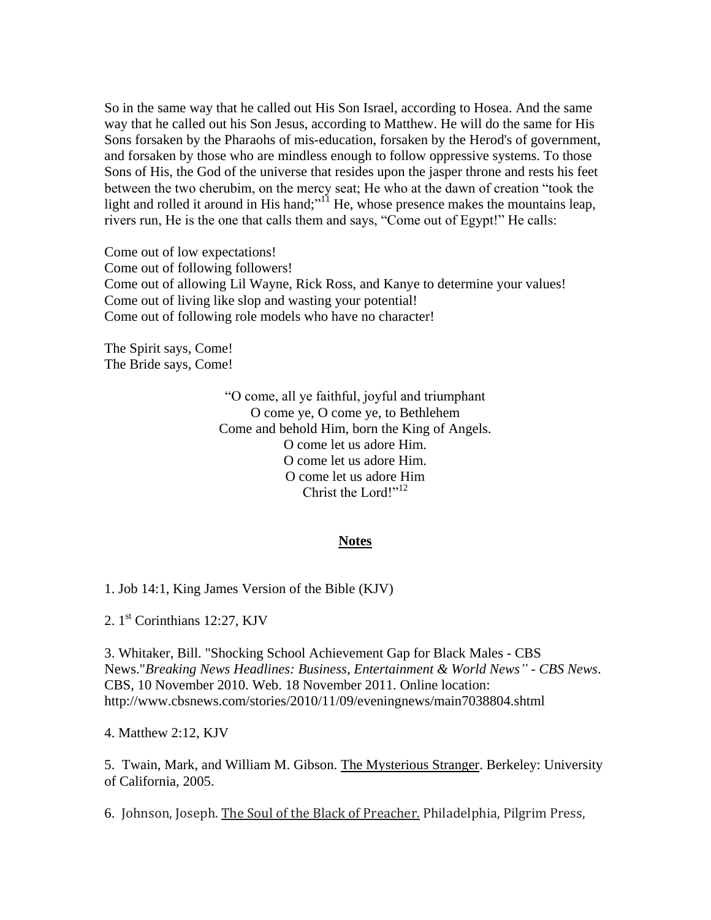So in the same way that he called out His Son Israel, according to Hosea. And the same way that he called out his Son Jesus, according to Matthew. He will do the same for His Sons forsaken by the Pharaohs of mis-education, forsaken by the Herod's of government, and forsaken by those who are mindless enough to follow oppressive systems. To those Sons of His, the God of the universe that resides upon the jasper throne and rests his feet between the two cherubim, on the mercy seat; He who at the dawn of creation "took the light and rolled it around in His hand;"<sup>11</sup> He, whose presence makes the mountains leap, rivers run, He is the one that calls them and says, "Come out of Egypt!" He calls:

Come out of low expectations! Come out of following followers! Come out of allowing Lil Wayne, Rick Ross, and Kanye to determine your values! Come out of living like slop and wasting your potential! Come out of following role models who have no character!

The Spirit says, Come! The Bride says, Come!

> "O come, all ye faithful, joyful and triumphant O come ye, O come ye, to Bethlehem Come and behold Him, born the King of Angels. O come let us adore Him. O come let us adore Him. O come let us adore Him Christ the Lord!"<sup>12</sup>

## **Notes**

1. Job 14:1, King James Version of the Bible (KJV)

2. 1<sup>st</sup> Corinthians 12:27, KJV

3. Whitaker, Bill. "Shocking School Achievement Gap for Black Males - CBS News."*Breaking News Headlines: Business, Entertainment & World News" - CBS News*. CBS, 10 November 2010. Web. 18 November 2011. Online location: http://www.cbsnews.com/stories/2010/11/09/eveningnews/main7038804.shtml

4. Matthew 2:12, KJV

5. Twain, Mark, and William M. Gibson. The Mysterious Stranger. Berkeley: University of California, 2005.

6. Johnson, Joseph. The Soul of the Black of Preacher. Philadelphia, Pilgrim Press,